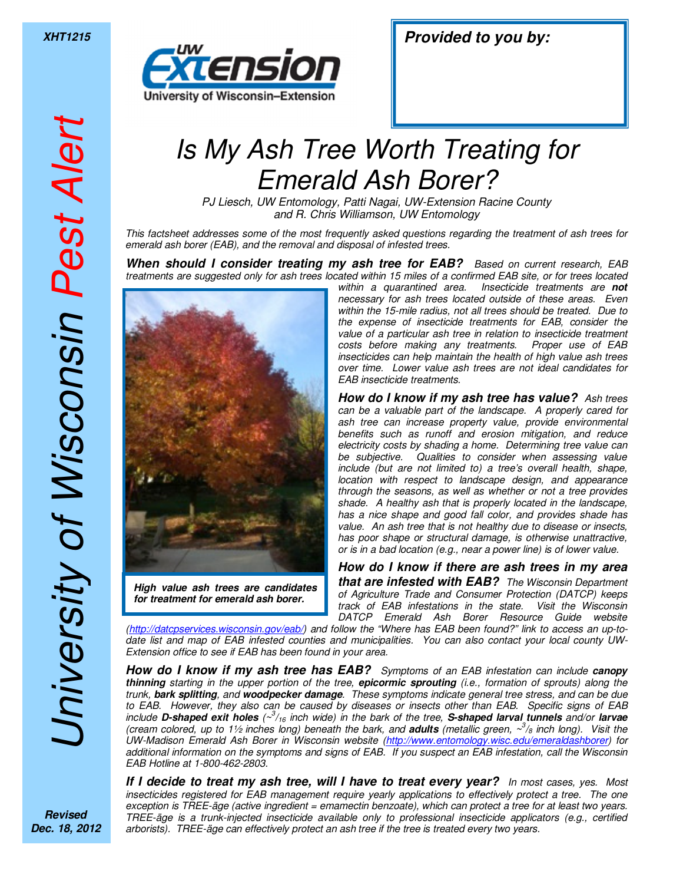## *Is My Ash Tree Worth Treating for Emerald Ash Borer?*

*PJ Liesch, UW Entomology, Patti Nagai, UW-Extension Racine County and R. Chris Williamson, UW Entomology* 

*This factsheet addresses some of the most frequently asked questions regarding the treatment of ash trees for emerald ash borer (EAB), and the removal and disposal of infested trees.* 

*When should I consider treating my ash tree for EAB? Based on current research, EAB treatments are suggested only for ash trees located within 15 miles of a confirmed EAB site, or for trees located*



*for treatment for emerald ash borer.* 

*within a quarantined area. Insecticide treatments are not necessary for ash trees located outside of these areas. Even within the 15-mile radius, not all trees should be treated. Due to the expense of insecticide treatments for EAB, consider the value of a particular ash tree in relation to insecticide treatment costs before making any treatments. Proper use of EAB insecticides can help maintain the health of high value ash trees over time. Lower value ash trees are not ideal candidates for EAB insecticide treatments.* 

*How do I know if my ash tree has value? Ash trees can be a valuable part of the landscape. A properly cared for ash tree can increase property value, provide environmental benefits such as runoff and erosion mitigation, and reduce electricity costs by shading a home. Determining tree value can be subjective. Qualities to consider when assessing value include (but are not limited to) a tree's overall health, shape, location with respect to landscape design, and appearance through the seasons, as well as whether or not a tree provides shade. A healthy ash that is properly located in the landscape, has a nice shape and good fall color, and provides shade has value. An ash tree that is not healthy due to disease or insects, has poor shape or structural damage, is otherwise unattractive, or is in a bad location (e.g., near a power line) is of lower value.* 

*How do I know if there are ash trees in my area that are infested with EAB? The Wisconsin Department of Agriculture Trade and Consumer Protection (DATCP) keeps track of EAB infestations in the state. Visit the Wisconsin DATCP Emerald Ash Borer Resource Guide website* 

*(http://datcpservices.wisconsin.gov/eab/) and follow the "Where has EAB been found?" link to access an up-todate list and map of EAB infested counties and municipalities. You can also contact your local county UW-Extension office to see if EAB has been found in your area.* 

*How do I know if my ash tree has EAB? Symptoms of an EAB infestation can include canopy thinning starting in the upper portion of the tree, epicormic sprouting (i.e., formation of sprouts) along the trunk, bark splitting, and woodpecker damage. These symptoms indicate general tree stress, and can be due to EAB. However, they also can be caused by diseases or insects other than EAB. Specific signs of EAB include D-shaped exit holes (~<sup>3</sup> /16 inch wide) in the bark of the tree, S-shaped larval tunnels and/or larvae (cream colored, up to 1½ inches long) beneath the bark, and adults (metallic green, ~<sup>3</sup> /8 inch long). Visit the UW-Madison Emerald Ash Borer in Wisconsin website (http://www.entomology.wisc.edu/emeraldashborer) for additional information on the symptoms and signs of EAB. If you suspect an EAB infestation, call the Wisconsin EAB Hotline at 1-800-462-2803.* 

*If I decide to treat my ash tree, will I have to treat every year? In most cases, yes. Most insecticides registered for EAB management require yearly applications to effectively protect a tree. The one exception is TREE-äge (active ingredient = emamectin benzoate), which can protect a tree for at least two years. TREE-äge is a trunk-injected insecticide available only to professional insecticide applicators (e.g., certified arborists). TREE-äge can effectively protect an ash tree if the tree is treated every two years.* 

*Revised Dec. 18, 2012*

*University of Wisconsin Pest Alert*

Jniversity of Wisconsin Pest Alert